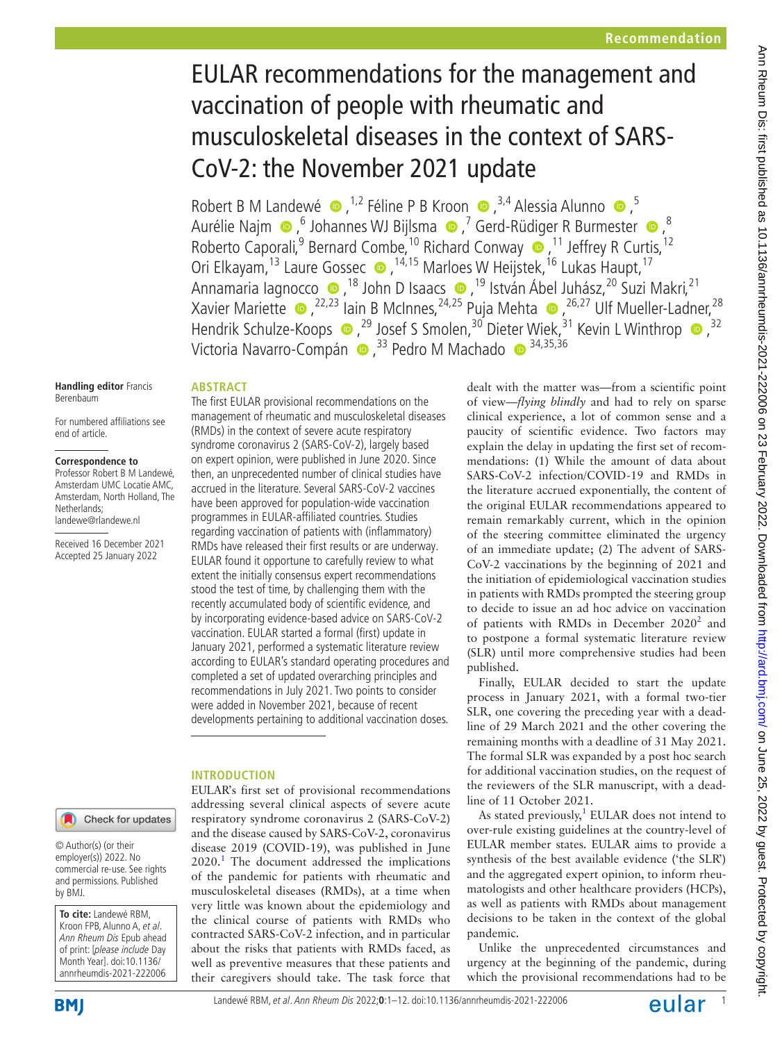# EULAR recommendations for the management and vaccination of people with rheumatic and musculoskeletal diseases in the context of SARS-CoV-2: the November 2021 update

RobertB M Landewé  $\bullet$ ,<sup>1,2</sup> Féline P B Kroon  $\bullet$ ,<sup>3,4</sup> Alessia Alunno  $\bullet$ ,<sup>5</sup> AurélieNajm  $\bigcirc$ ,  $^6$  Johannes WJ Bijlsma  $\bigcirc$ ,  $^7$  Gerd-Rüdiger R Burmester  $\bigcirc$ ,  $^8$ Roberto Caporali,<sup>9</sup> Bernard Combe,<sup>10</sup> Richard Conway (D, <sup>11</sup> Jeffrey R Curtis, <sup>12</sup> Ori Elkayam,<sup>13</sup> Laure Gossec . <sup>14,15</sup> Marloes W Heijstek,<sup>16</sup> Lukas Haupt,<sup>17</sup> Annamaria Iagnocco (a 18 John D Isaacs (a 19 István Ábel Juhász, <sup>20</sup> Suzi Makri, <sup>21</sup> XavierMariette  $\bullet$  , <sup>22,23</sup> Iain B McInnes, <sup>24,25</sup> Puja Mehta  $\bullet$  , <sup>26,27</sup> Ulf Mueller-Ladner, <sup>28</sup> HendrikSchulze-Koops  $\bullet$ ,<sup>29</sup> Josef S Smolen,<sup>30</sup> Dieter Wiek,<sup>31</sup> Kevin L Winthrop  $\bullet$ ,<sup>32</sup> VictoriaNavarro-Compán (B),<sup>33</sup> Pedro M Machado (B)<sup>34,35,36</sup>

#### **ABSTRACT** The first EULAR provisional recommendations on the

For numbered affiliations see end of article.

**Handling editor** Francis

Berenbaum

#### **Correspondence to**

Professor Robert B M Landewé, Amsterdam UMC Locatie AMC, Amsterdam, North Holland, The Netherlands; landewe@rlandewe.nl

Received 16 December 2021 Accepted 25 January 2022

## management of rheumatic and musculoskeletal diseases (RMDs) in the context of severe acute respiratory syndrome coronavirus 2 (SARS-CoV-2), largely based on expert opinion, were published in June 2020. Since then, an unprecedented number of clinical studies have accrued in the literature. Several SARS-CoV-2 vaccines have been approved for population-wide vaccination programmes in EULAR-affiliated countries. Studies regarding vaccination of patients with (inflammatory) RMDs have released their first results or are underway. EULAR found it opportune to carefully review to what extent the initially consensus expert recommendations stood the test of time, by challenging them with the recently accumulated body of scientific evidence, and by incorporating evidence-based advice on SARS-CoV-2 vaccination. EULAR started a formal (first) update in January 2021, performed a systematic literature review according to EULAR's standard operating procedures and completed a set of updated overarching principles and recommendations in July 2021. Two points to consider were added in November 2021, because of recent developments pertaining to additional vaccination doses.

# **INTRODUCTION**

EULAR's first set of provisional recommendations addressing several clinical aspects of severe acute respiratory syndrome coronavirus 2 (SARS-CoV-2) and the disease caused by SARS-CoV-2, coronavirus disease 2019 (COVID-19), was published in June  $2020$ .<sup>1</sup> The document addressed the implications of the pandemic for patients with rheumatic and musculoskeletal diseases (RMDs), at a time when very little was known about the epidemiology and the clinical course of patients with RMDs who contracted SARS-CoV-2 infection, and in particular about the risks that patients with RMDs faced, as well as preventive measures that these patients and their caregivers should take. The task force that

dealt with the matter was—from a scientific point of view*—flying blindly* and had to rely on sparse clinical experience, a lot of common sense and a paucity of scientific evidence. Two factors may explain the delay in updating the first set of recommendations: (1) While the amount of data about SARS-CoV-2 infection/COVID-19 and RMDs in the literature accrued exponentially, the content of the original EULAR recommendations appeared to remain remarkably current, which in the opinion of the steering committee eliminated the urgency of an immediate update; (2) The advent of SARS-CoV-2 vaccinations by the beginning of 2021 and the initiation of epidemiological vaccination studies in patients with RMDs prompted the steering group to decide to issue an ad hoc advice on vaccination of patients with RMDs in December  $2020<sup>2</sup>$  $2020<sup>2</sup>$  and to postpone a formal systematic literature review (SLR) until more comprehensive studies had been published.

Finally, EULAR decided to start the update process in January 2021, with a formal two-tier SLR, one covering the preceding year with a deadline of 29 March 2021 and the other covering the remaining months with a deadline of 31 May 2021. The formal SLR was expanded by a post hoc search for additional vaccination studies, on the request of the reviewers of the SLR manuscript, with a deadline of 11 October 2021.

As stated previously, $1$  EULAR does not intend to over-rule existing guidelines at the country-level of EULAR member states. EULAR aims to provide a synthesis of the best available evidence ('the SLR') and the aggregated expert opinion, to inform rheumatologists and other healthcare providers (HCPs), as well as patients with RMDs about management decisions to be taken in the context of the global pandemic.

Unlike the unprecedented circumstances and urgency at the beginning of the pandemic, during which the provisional recommendations had to be

by BMJ.

**To cite:** Landewé RBM, Kroon FPB, Alunno A, et al. Ann Rheum Dis Epub ahead of print: [please include Day Month Year]. doi:10.1136/ annrheumdis-2021-222006

© Author(s) (or their employer(s)) 2022. No commercial re-use. See rights and permissions. Published

Check for updates

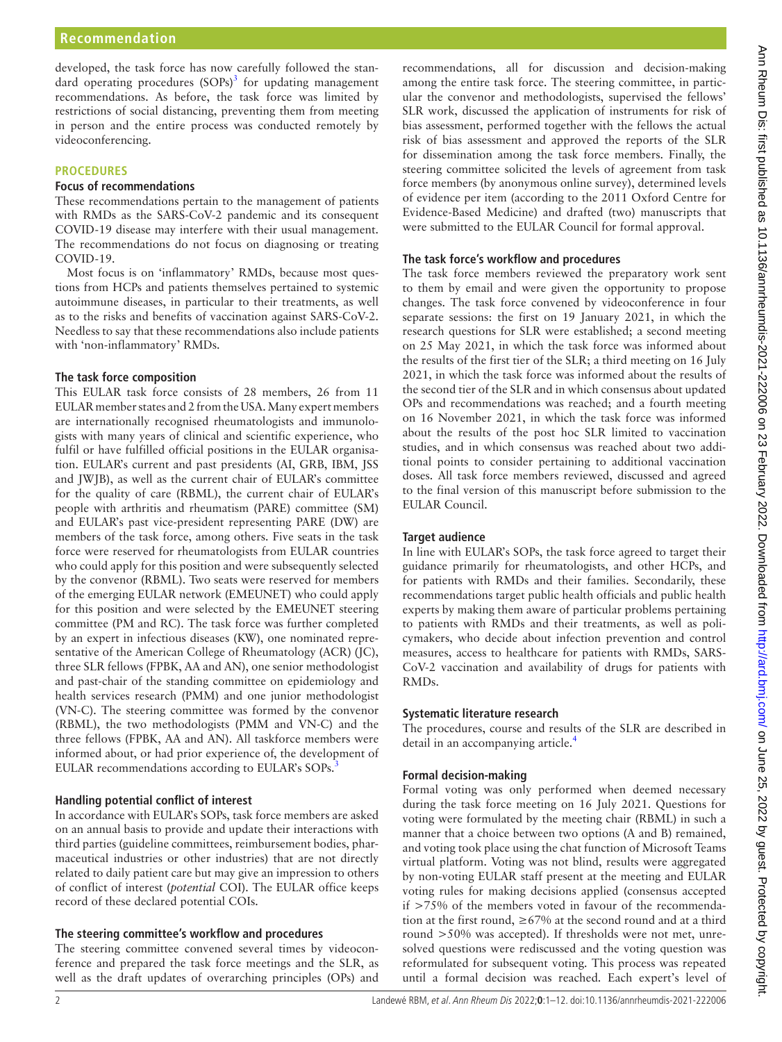developed, the task force has now carefully followed the standard operating procedures  $(SOPs)^3$  $(SOPs)^3$  for updating management recommendations. As before, the task force was limited by restrictions of social distancing, preventing them from meeting in person and the entire process was conducted remotely by videoconferencing.

## **PROCEDURES**

## **Focus of recommendations**

These recommendations pertain to the management of patients with RMDs as the SARS-CoV-2 pandemic and its consequent COVID-19 disease may interfere with their usual management. The recommendations do not focus on diagnosing or treating COVID-19.

Most focus is on 'inflammatory' RMDs, because most questions from HCPs and patients themselves pertained to systemic autoimmune diseases, in particular to their treatments, as well as to the risks and benefits of vaccination against SARS-CoV-2. Needless to say that these recommendations also include patients with 'non-inflammatory' RMDs.

## **The task force composition**

This EULAR task force consists of 28 members, 26 from 11 EULAR member states and 2 from the USA. Many expert members are internationally recognised rheumatologists and immunologists with many years of clinical and scientific experience, who fulfil or have fulfilled official positions in the EULAR organisation. EULAR's current and past presidents (AI, GRB, IBM, JSS and JWJB), as well as the current chair of EULAR's committee for the quality of care (RBML), the current chair of EULAR's people with arthritis and rheumatism (PARE) committee (SM) and EULAR's past vice-president representing PARE (DW) are members of the task force, among others. Five seats in the task force were reserved for rheumatologists from EULAR countries who could apply for this position and were subsequently selected by the convenor (RBML). Two seats were reserved for members of the emerging EULAR network (EMEUNET) who could apply for this position and were selected by the EMEUNET steering committee (PM and RC). The task force was further completed by an expert in infectious diseases (KW), one nominated representative of the American College of Rheumatology (ACR) (JC), three SLR fellows (FPBK, AA and AN), one senior methodologist and past-chair of the standing committee on epidemiology and health services research (PMM) and one junior methodologist (VN-C). The steering committee was formed by the convenor (RBML), the two methodologists (PMM and VN-C) and the three fellows (FPBK, AA and AN). All taskforce members were informed about, or had prior experience of, the development of EULAR recommendations according to EULAR's SOPs.[3](#page-10-2)

# **Handling potential conflict of interest**

In accordance with EULAR's SOPs, task force members are asked on an annual basis to provide and update their interactions with third parties (guideline committees, reimbursement bodies, pharmaceutical industries or other industries) that are not directly related to daily patient care but may give an impression to others of conflict of interest (*potential* COI). The EULAR office keeps record of these declared potential COIs.

# **The steering committee's workflow and procedures**

The steering committee convened several times by videoconference and prepared the task force meetings and the SLR, as well as the draft updates of overarching principles (OPs) and

recommendations, all for discussion and decision-making among the entire task force. The steering committee, in particular the convenor and methodologists, supervised the fellows' SLR work, discussed the application of instruments for risk of bias assessment, performed together with the fellows the actual risk of bias assessment and approved the reports of the SLR for dissemination among the task force members. Finally, the steering committee solicited the levels of agreement from task force members (by anonymous online survey), determined levels of evidence per item (according to the 2011 Oxford Centre for Evidence-Based Medicine) and drafted (two) manuscripts that were submitted to the EULAR Council for formal approval.

# **The task force's workflow and procedures**

The task force members reviewed the preparatory work sent to them by email and were given the opportunity to propose changes. The task force convened by videoconference in four separate sessions: the first on 19 January 2021, in which the research questions for SLR were established; a second meeting on 25 May 2021, in which the task force was informed about the results of the first tier of the SLR; a third meeting on 16 July 2021, in which the task force was informed about the results of the second tier of the SLR and in which consensus about updated OPs and recommendations was reached; and a fourth meeting on 16 November 2021, in which the task force was informed about the results of the post hoc SLR limited to vaccination studies, and in which consensus was reached about two additional points to consider pertaining to additional vaccination doses. All task force members reviewed, discussed and agreed to the final version of this manuscript before submission to the EULAR Council.

# **Target audience**

In line with EULAR's SOPs, the task force agreed to target their guidance primarily for rheumatologists, and other HCPs, and for patients with RMDs and their families. Secondarily, these recommendations target public health officials and public health experts by making them aware of particular problems pertaining to patients with RMDs and their treatments, as well as policymakers, who decide about infection prevention and control measures, access to healthcare for patients with RMDs, SARS-CoV-2 vaccination and availability of drugs for patients with RMDs.

# **Systematic literature research**

The procedures, course and results of the SLR are described in detail in an accompanying article.<sup>4</sup>

# **Formal decision-making**

Formal voting was only performed when deemed necessary during the task force meeting on 16 July 2021. Questions for voting were formulated by the meeting chair (RBML) in such a manner that a choice between two options (A and B) remained, and voting took place using the chat function of Microsoft Teams virtual platform. Voting was not blind, results were aggregated by non-voting EULAR staff present at the meeting and EULAR voting rules for making decisions applied (consensus accepted if >75% of the members voted in favour of the recommendation at the first round,  $\geq 67\%$  at the second round and at a third round >50% was accepted). If thresholds were not met, unresolved questions were rediscussed and the voting question was reformulated for subsequent voting. This process was repeated until a formal decision was reached. Each expert's level of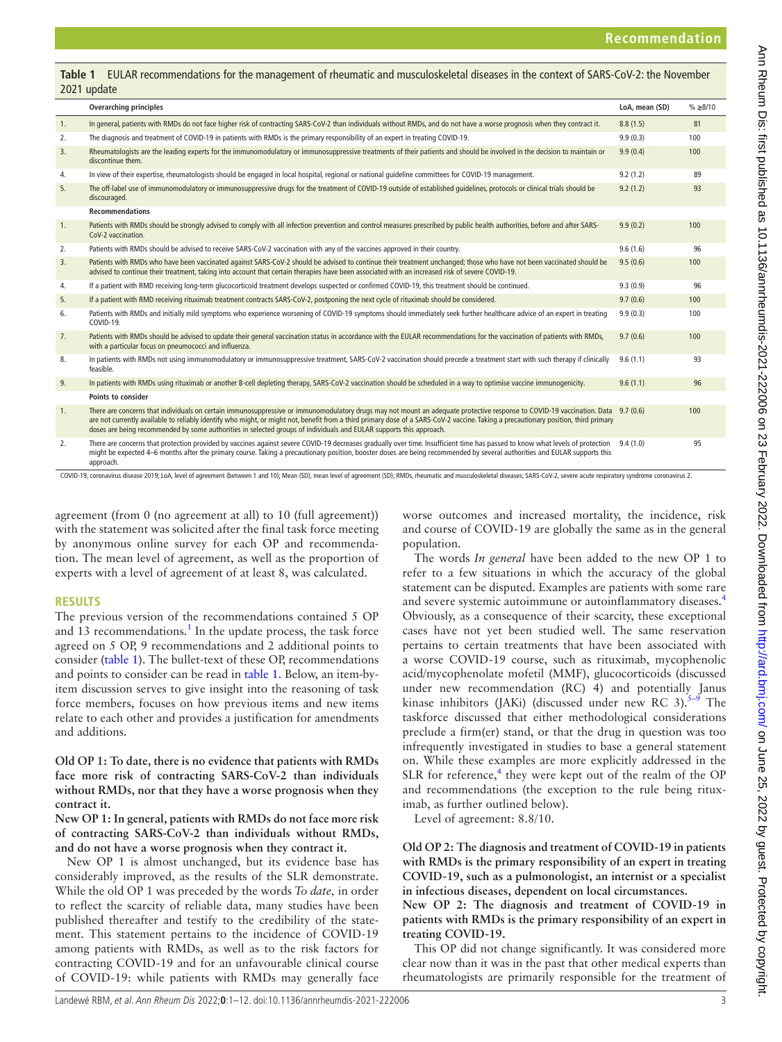<span id="page-2-0"></span>**Table 1** EULAR recommendations for the management of rheumatic and musculoskeletal diseases in the context of SARS-CoV-2: the November 2021 update

|    | <b>Overarching principles</b>                                                                                                                                                                                                                                                                                                                                                                                                                                                                  | LoA. mean (SD) | % > 8/10 |
|----|------------------------------------------------------------------------------------------------------------------------------------------------------------------------------------------------------------------------------------------------------------------------------------------------------------------------------------------------------------------------------------------------------------------------------------------------------------------------------------------------|----------------|----------|
| 1. | In general, patients with RMDs do not face higher risk of contracting SARS-CoV-2 than individuals without RMDs, and do not have a worse prognosis when they contract it.                                                                                                                                                                                                                                                                                                                       | 8.8(1.5)       | 81       |
| 2. | The diagnosis and treatment of COVID-19 in patients with RMDs is the primary responsibility of an expert in treating COVID-19.                                                                                                                                                                                                                                                                                                                                                                 | 9.9(0.3)       | 100      |
| 3. | Rheumatologists are the leading experts for the immunomodulatory or immunosuppressive treatments of their patients and should be involved in the decision to maintain or<br>discontinue them.                                                                                                                                                                                                                                                                                                  | 9.9(0.4)       | 100      |
| 4. | In view of their expertise, rheumatologists should be engaged in local hospital, regional or national guideline committees for COVID-19 management.                                                                                                                                                                                                                                                                                                                                            | 9.2(1.2)       | 89       |
| 5. | The off-label use of immunomodulatory or immunosuppressive drugs for the treatment of COVID-19 outside of established quidelines, protocols or clinical trials should be<br>discouraged.                                                                                                                                                                                                                                                                                                       | 9.2(1.2)       | 93       |
|    | <b>Recommendations</b>                                                                                                                                                                                                                                                                                                                                                                                                                                                                         |                |          |
| 1. | Patients with RMDs should be strongly advised to comply with all infection prevention and control measures prescribed by public health authorities, before and after SARS-<br>CoV-2 vaccination.                                                                                                                                                                                                                                                                                               | 9.9(0.2)       | 100      |
| 2. | Patients with RMDs should be advised to receive SARS-CoV-2 vaccination with any of the vaccines approved in their country.                                                                                                                                                                                                                                                                                                                                                                     | 9.6(1.6)       | 96       |
| 3. | Patients with RMDs who have been vaccinated against SARS-CoV-2 should be advised to continue their treatment unchanged; those who have not been vaccinated should be<br>advised to continue their treatment, taking into account that certain therapies have been associated with an increased risk of severe COVID-19.                                                                                                                                                                        | 9.5(0.6)       | 100      |
| 4. | If a patient with RMD receiving long-term glucocorticoid treatment develops suspected or confirmed COVID-19, this treatment should be continued.                                                                                                                                                                                                                                                                                                                                               | 9.3(0.9)       | 96       |
| 5. | If a patient with RMD receiving rituximab treatment contracts SARS-CoV-2, postponing the next cycle of rituximab should be considered.                                                                                                                                                                                                                                                                                                                                                         | 9.7(0.6)       | 100      |
| 6. | Patients with RMDs and initially mild symptoms who experience worsening of COVID-19 symptoms should immediately seek further healthcare advice of an expert in treating<br>COVID-19.                                                                                                                                                                                                                                                                                                           | 9.9(0.3)       | 100      |
| 7. | Patients with RMDs should be advised to update their general vaccination status in accordance with the EULAR recommendations for the vaccination of patients with RMDs,<br>with a particular focus on pneumococci and influenza.                                                                                                                                                                                                                                                               | 9.7(0.6)       | 100      |
| 8. | In patients with RMDs not using immunomodulatory or immunosuppressive treatment, SARS-CoV-2 vaccination should precede a treatment start with such therapy if clinically<br>feasible.                                                                                                                                                                                                                                                                                                          | 9.6(1.1)       | 93       |
| 9. | In patients with RMDs using rituximab or another B-cell depleting therapy, SARS-CoV-2 vaccination should be scheduled in a way to optimise vaccine immunogenicity.                                                                                                                                                                                                                                                                                                                             | 9.6(1.1)       | 96       |
|    | Points to consider                                                                                                                                                                                                                                                                                                                                                                                                                                                                             |                |          |
| 1. | There are concerns that individuals on certain immunosuppressive or immunomodulatory drugs may not mount an adequate protective response to COVID-19 vaccination. Data 9.7 (0.6)<br>are not currently available to reliably identify who might, or might not, benefit from a third primary dose of a SARS-CoV-2 vaccine. Taking a precautionary position, third primary<br>doses are being recommended by some authorities in selected groups of individuals and EULAR supports this approach. |                | 100      |
| 2. | There are concerns that protection provided by vaccines against severe COVID-19 decreases gradually over time. Insufficient time has passed to know what levels of protection 9.4 (1.0)<br>might be expected 4–6 months after the primary course. Taking a precautionary position, booster doses are being recommended by several authorities and EULAR supports this                                                                                                                          |                | 95       |

COVID-19, coronavirus disease 2019; LoA, level of agreement (between 1 and 10); Mean (SD), mean level of agreement (SD); RMDs, rheumatic and musculoskeletal diseases; SARS-CoV-2, severe acute respiratory syndrome coronavir

agreement (from 0 (no agreement at all) to 10 (full agreement)) with the statement was solicited after the final task force meeting by anonymous online survey for each OP and recommendation. The mean level of agreement, as well as the proportion of experts with a level of agreement of at least 8, was calculated.

#### **RESULTS**

approach

The previous version of the recommendations contained 5 OP and [1](#page-10-0)3 recommendations. $<sup>1</sup>$  In the update process, the task force</sup> agreed on 5 OP, 9 recommendations and 2 additional points to consider ([table](#page-2-0) 1). The bullet-text of these OP, recommendations and points to consider can be read in [table](#page-2-0) 1. Below, an item-byitem discussion serves to give insight into the reasoning of task force members, focuses on how previous items and new items relate to each other and provides a justification for amendments and additions.

**Old OP 1: To date, there is no evidence that patients with RMDs face more risk of contracting SARS-CoV-2 than individuals without RMDs, nor that they have a worse prognosis when they contract it.**

**New OP 1: In general, patients with RMDs do not face more risk of contracting SARS-CoV-2 than individuals without RMDs, and do not have a worse prognosis when they contract it.**

New OP 1 is almost unchanged, but its evidence base has considerably improved, as the results of the SLR demonstrate. While the old OP 1 was preceded by the words *To date,* in order to reflect the scarcity of reliable data, many studies have been published thereafter and testify to the credibility of the statement. This statement pertains to the incidence of COVID-19 among patients with RMDs, as well as to the risk factors for contracting COVID-19 and for an unfavourable clinical course of COVID-19: while patients with RMDs may generally face

worse outcomes and increased mortality, the incidence, risk and course of COVID-19 are globally the same as in the general population.

The words *In general* have been added to the new OP 1 to refer to a few situations in which the accuracy of the global statement can be disputed. Examples are patients with some rare and severe systemic autoimmune or autoinflammatory diseases.[4](#page-10-3) Obviously, as a consequence of their scarcity, these exceptional cases have not yet been studied well. The same reservation pertains to certain treatments that have been associated with a worse COVID-19 course, such as rituximab, mycophenolic acid/mycophenolate mofetil (MMF), glucocorticoids (discussed under new recommendation (RC) 4) and potentially Janus kinase inhibitors (JAKi) (discussed under new RC 3). $5-9$  The taskforce discussed that either methodological considerations preclude a firm(er) stand, or that the drug in question was too infrequently investigated in studies to base a general statement on. While these examples are more explicitly addressed in the SLR for reference, $4$  they were kept out of the realm of the OP and recommendations (the exception to the rule being rituximab, as further outlined below).

Level of agreement: 8.8/10.

**Old OP 2: The diagnosis and treatment of COVID-19 in patients with RMDs is the primary responsibility of an expert in treating COVID-19, such as a pulmonologist, an internist or a specialist in infectious diseases, dependent on local circumstances.**

**New OP 2: The diagnosis and treatment of COVID-19 in patients with RMDs is the primary responsibility of an expert in treating COVID-19.**

This OP did not change significantly. It was considered more clear now than it was in the past that other medical experts than rheumatologists are primarily responsible for the treatment of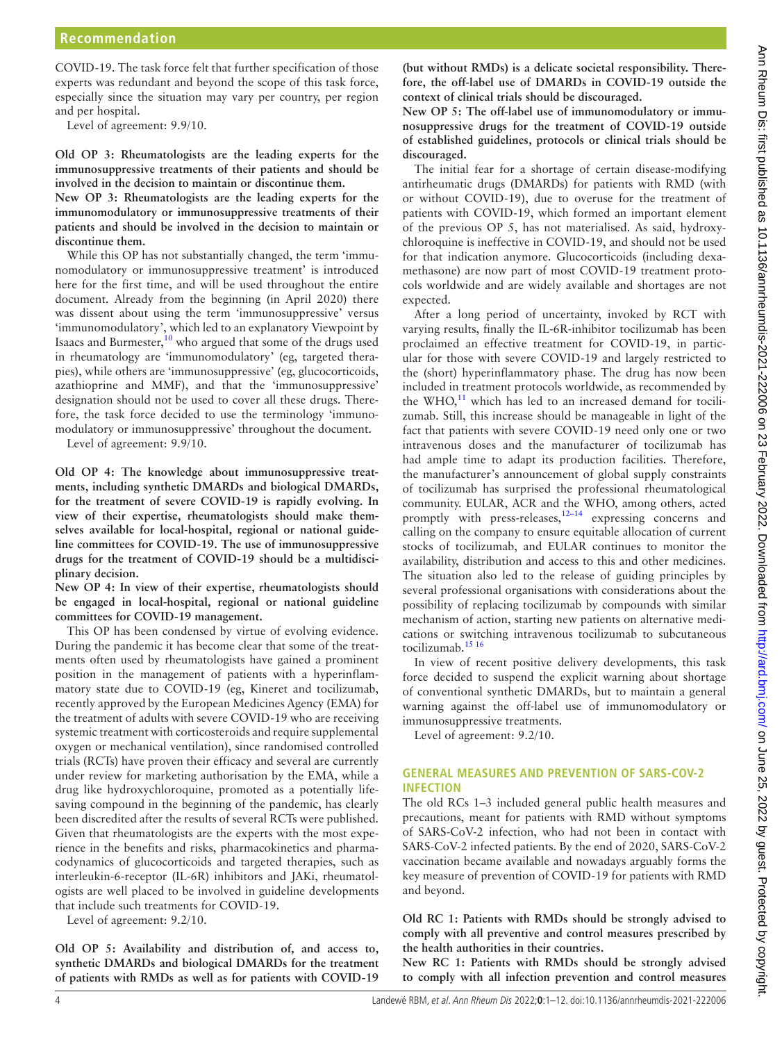COVID-19. The task force felt that further specification of those experts was redundant and beyond the scope of this task force, especially since the situation may vary per country, per region and per hospital.

Level of agreement: 9.9/10.

**Old OP 3: Rheumatologists are the leading experts for the immunosuppressive treatments of their patients and should be involved in the decision to maintain or discontinue them.**

**New OP 3: Rheumatologists are the leading experts for the immunomodulatory or immunosuppressive treatments of their patients and should be involved in the decision to maintain or discontinue them.**

While this OP has not substantially changed, the term 'immunomodulatory or immunosuppressive treatment' is introduced here for the first time, and will be used throughout the entire document. Already from the beginning (in April 2020) there was dissent about using the term 'immunosuppressive' versus 'immunomodulatory', which led to an explanatory Viewpoint by Isaacs and Burmester, $^{10}$  who argued that some of the drugs used in rheumatology are 'immunomodulatory' (eg, targeted therapies), while others are 'immunosuppressive' (eg, glucocorticoids, azathioprine and MMF), and that the 'immunosuppressive' designation should not be used to cover all these drugs. Therefore, the task force decided to use the terminology 'immunomodulatory or immunosuppressive' throughout the document.

Level of agreement: 9.9/10.

**Old OP 4: The knowledge about immunosuppressive treatments, including synthetic DMARDs and biological DMARDs, for the treatment of severe COVID-19 is rapidly evolving. In view of their expertise, rheumatologists should make themselves available for local-hospital, regional or national guideline committees for COVID-19. The use of immunosuppressive drugs for the treatment of COVID-19 should be a multidisciplinary decision.**

**New OP 4: In view of their expertise, rheumatologists should be engaged in local-hospital, regional or national guideline committees for COVID-19 management.**

This OP has been condensed by virtue of evolving evidence. During the pandemic it has become clear that some of the treatments often used by rheumatologists have gained a prominent position in the management of patients with a hyperinflammatory state due to COVID-19 (eg, Kineret and tocilizumab, recently approved by the European Medicines Agency (EMA) for the treatment of adults with severe COVID-19 who are receiving systemic treatment with corticosteroids and require supplemental oxygen or mechanical ventilation), since randomised controlled trials (RCTs) have proven their efficacy and several are currently under review for marketing authorisation by the EMA, while a drug like hydroxychloroquine, promoted as a potentially lifesaving compound in the beginning of the pandemic, has clearly been discredited after the results of several RCTs were published. Given that rheumatologists are the experts with the most experience in the benefits and risks, pharmacokinetics and pharmacodynamics of glucocorticoids and targeted therapies, such as interleukin-6-receptor (IL-6R) inhibitors and JAKi, rheumatologists are well placed to be involved in guideline developments that include such treatments for COVID-19.

Level of agreement: 9.2/10.

**Old OP 5: Availability and distribution of, and access to, synthetic DMARDs and biological DMARDs for the treatment of patients with RMDs as well as for patients with COVID-19** 

**(but without RMDs) is a delicate societal responsibility. Therefore, the off-label use of DMARDs in COVID-19 outside the context of clinical trials should be discouraged.**

**New OP 5: The off-label use of immunomodulatory or immunosuppressive drugs for the treatment of COVID-19 outside of established guidelines, protocols or clinical trials should be discouraged.**

The initial fear for a shortage of certain disease-modifying antirheumatic drugs (DMARDs) for patients with RMD (with or without COVID-19), due to overuse for the treatment of patients with COVID-19, which formed an important element of the previous OP 5, has not materialised. As said, hydroxychloroquine is ineffective in COVID-19, and should not be used for that indication anymore. Glucocorticoids (including dexamethasone) are now part of most COVID-19 treatment protocols worldwide and are widely available and shortages are not expected.

After a long period of uncertainty, invoked by RCT with varying results, finally the IL-6R-inhibitor tocilizumab has been proclaimed an effective treatment for COVID-19, in particular for those with severe COVID-19 and largely restricted to the (short) hyperinflammatory phase. The drug has now been included in treatment protocols worldwide, as recommended by the WHO, $^{11}$  $^{11}$  $^{11}$  which has led to an increased demand for tocilizumab. Still, this increase should be manageable in light of the fact that patients with severe COVID-19 need only one or two intravenous doses and the manufacturer of tocilizumab has had ample time to adapt its production facilities. Therefore, the manufacturer's announcement of global supply constraints of tocilizumab has surprised the professional rheumatological community. EULAR, ACR and the WHO, among others, acted promptly with press-releases, $12-14$  expressing concerns and calling on the company to ensure equitable allocation of current stocks of tocilizumab, and EULAR continues to monitor the availability, distribution and access to this and other medicines. The situation also led to the release of guiding principles by several professional organisations with considerations about the possibility of replacing tocilizumab by compounds with similar mechanism of action, starting new patients on alternative medications or switching intravenous tocilizumab to subcutaneous tocilizumab.[15 16](#page-11-3)

In view of recent positive delivery developments, this task force decided to suspend the explicit warning about shortage of conventional synthetic DMARDs, but to maintain a general warning against the off-label use of immunomodulatory or immunosuppressive treatments.

Level of agreement: 9.2/10.

# **GENERAL MEASURES AND PREVENTION OF SARS-COV-2 INFECTION**

The old RCs 1–3 included general public health measures and precautions, meant for patients with RMD without symptoms of SARS-CoV-2 infection, who had not been in contact with SARS-CoV-2 infected patients. By the end of 2020, SARS-CoV-2 vaccination became available and nowadays arguably forms the key measure of prevention of COVID-19 for patients with RMD and beyond.

**Old RC 1: Patients with RMDs should be strongly advised to comply with all preventive and control measures prescribed by the health authorities in their countries.**

**New RC 1: Patients with RMDs should be strongly advised to comply with all infection prevention and control measures**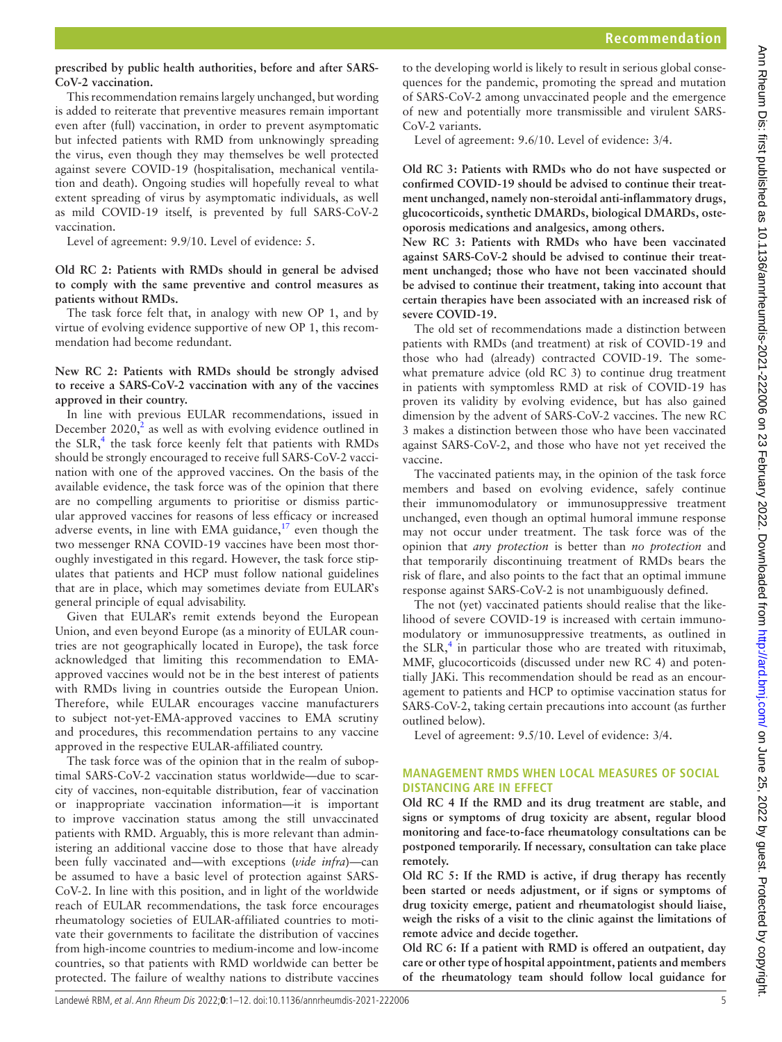## **prescribed by public health authorities, before and after SARS-CoV-2 vaccination.**

This recommendation remains largely unchanged, but wording is added to reiterate that preventive measures remain important even after (full) vaccination, in order to prevent asymptomatic but infected patients with RMD from unknowingly spreading the virus, even though they may themselves be well protected against severe COVID-19 (hospitalisation, mechanical ventilation and death). Ongoing studies will hopefully reveal to what extent spreading of virus by asymptomatic individuals, as well as mild COVID-19 itself, is prevented by full SARS-CoV-2 vaccination.

Level of agreement: 9.9/10. Level of evidence: 5.

## **Old RC 2: Patients with RMDs should in general be advised to comply with the same preventive and control measures as patients without RMDs.**

The task force felt that, in analogy with new OP 1, and by virtue of evolving evidence supportive of new OP 1, this recommendation had become redundant.

## **New RC 2: Patients with RMDs should be strongly advised to receive a SARS-CoV-2 vaccination with any of the vaccines approved in their country.**

In line with previous EULAR recommendations, issued in December  $2020$  $2020$ <sup>2</sup>, as well as with evolving evidence outlined in the SLR,<sup>[4](#page-10-3)</sup> the task force keenly felt that patients with RMDs should be strongly encouraged to receive full SARS-CoV-2 vaccination with one of the approved vaccines. On the basis of the available evidence, the task force was of the opinion that there are no compelling arguments to prioritise or dismiss particular approved vaccines for reasons of less efficacy or increased adverse events, in line with EMA guidance, $17$  even though the two messenger RNA COVID-19 vaccines have been most thoroughly investigated in this regard. However, the task force stipulates that patients and HCP must follow national guidelines that are in place, which may sometimes deviate from EULAR's general principle of equal advisability.

Given that EULAR's remit extends beyond the European Union, and even beyond Europe (as a minority of EULAR countries are not geographically located in Europe), the task force acknowledged that limiting this recommendation to EMAapproved vaccines would not be in the best interest of patients with RMDs living in countries outside the European Union. Therefore, while EULAR encourages vaccine manufacturers to subject not-yet-EMA-approved vaccines to EMA scrutiny and procedures, this recommendation pertains to any vaccine approved in the respective EULAR-affiliated country.

The task force was of the opinion that in the realm of suboptimal SARS-CoV-2 vaccination status worldwide—due to scarcity of vaccines, non-equitable distribution, fear of vaccination or inappropriate vaccination information—it is important to improve vaccination status among the still unvaccinated patients with RMD. Arguably, this is more relevant than administering an additional vaccine dose to those that have already been fully vaccinated and—with exceptions (*vide infra*)—can be assumed to have a basic level of protection against SARS-CoV-2. In line with this position, and in light of the worldwide reach of EULAR recommendations, the task force encourages rheumatology societies of EULAR-affiliated countries to motivate their governments to facilitate the distribution of vaccines from high-income countries to medium-income and low-income countries, so that patients with RMD worldwide can better be protected. The failure of wealthy nations to distribute vaccines

to the developing world is likely to result in serious global consequences for the pandemic, promoting the spread and mutation of SARS-CoV-2 among unvaccinated people and the emergence of new and potentially more transmissible and virulent SARS-CoV-2 variants.

Level of agreement: 9.6/10. Level of evidence: 3/4.

**Old RC 3: Patients with RMDs who do not have suspected or confirmed COVID-19 should be advised to continue their treatment unchanged, namely non-steroidal anti-inflammatory drugs, glucocorticoids, synthetic DMARDs, biological DMARDs, osteoporosis medications and analgesics, among others.**

**New RC 3: Patients with RMDs who have been vaccinated against SARS-CoV-2 should be advised to continue their treatment unchanged; those who have not been vaccinated should be advised to continue their treatment, taking into account that certain therapies have been associated with an increased risk of severe COVID-19.**

The old set of recommendations made a distinction between patients with RMDs (and treatment) at risk of COVID-19 and those who had (already) contracted COVID-19. The somewhat premature advice (old RC 3) to continue drug treatment in patients with symptomless RMD at risk of COVID-19 has proven its validity by evolving evidence, but has also gained dimension by the advent of SARS-CoV-2 vaccines. The new RC 3 makes a distinction between those who have been vaccinated against SARS-CoV-2, and those who have not yet received the vaccine.

The vaccinated patients may, in the opinion of the task force members and based on evolving evidence, safely continue their immunomodulatory or immunosuppressive treatment unchanged, even though an optimal humoral immune response may not occur under treatment. The task force was of the opinion that *any protection* is better than *no protection* and that temporarily discontinuing treatment of RMDs bears the risk of flare, and also points to the fact that an optimal immune response against SARS-CoV-2 is not unambiguously defined.

The not (yet) vaccinated patients should realise that the likelihood of severe COVID-19 is increased with certain immunomodulatory or immunosuppressive treatments, as outlined in the SLR, $<sup>4</sup>$  $<sup>4</sup>$  $<sup>4</sup>$  in particular those who are treated with rituximab,</sup> MMF, glucocorticoids (discussed under new RC 4) and potentially JAKi. This recommendation should be read as an encouragement to patients and HCP to optimise vaccination status for SARS-CoV-2, taking certain precautions into account (as further outlined below).

Level of agreement: 9.5/10. Level of evidence: 3/4.

## **MANAGEMENT RMDS WHEN LOCAL MEASURES OF SOCIAL DISTANCING ARE IN EFFECT**

**Old RC 4 If the RMD and its drug treatment are stable, and signs or symptoms of drug toxicity are absent, regular blood monitoring and face-to-face rheumatology consultations can be postponed temporarily. If necessary, consultation can take place remotely.**

**Old RC 5: If the RMD is active, if drug therapy has recently been started or needs adjustment, or if signs or symptoms of drug toxicity emerge, patient and rheumatologist should liaise, weigh the risks of a visit to the clinic against the limitations of remote advice and decide together.**

**Old RC 6: If a patient with RMD is offered an outpatient, day care or other type of hospital appointment, patients and members of the rheumatology team should follow local guidance for**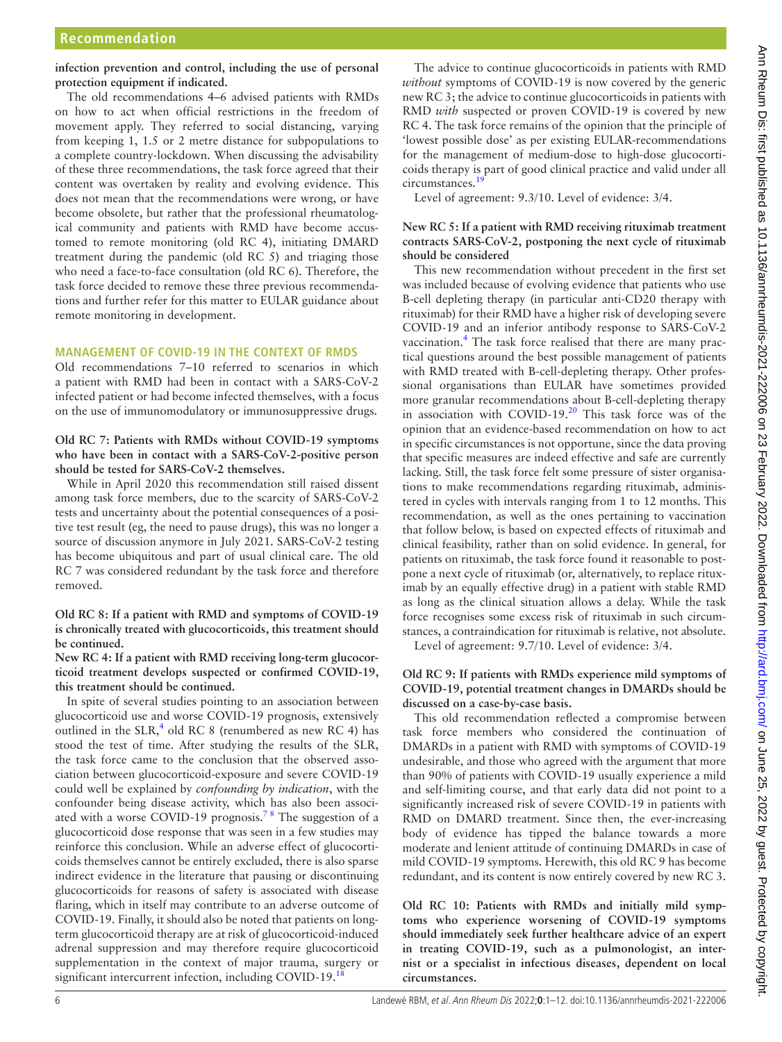**infection prevention and control, including the use of personal protection equipment if indicated.**

The old recommendations 4–6 advised patients with RMDs on how to act when official restrictions in the freedom of movement apply. They referred to social distancing, varying from keeping 1, 1.5 or 2 metre distance for subpopulations to a complete country-lockdown. When discussing the advisability of these three recommendations, the task force agreed that their content was overtaken by reality and evolving evidence. This does not mean that the recommendations were wrong, or have become obsolete, but rather that the professional rheumatological community and patients with RMD have become accustomed to remote monitoring (old RC 4), initiating DMARD treatment during the pandemic (old RC 5) and triaging those who need a face-to-face consultation (old RC 6). Therefore, the task force decided to remove these three previous recommendations and further refer for this matter to EULAR guidance about remote monitoring in development.

## **MANAGEMENT OF COVID-19 IN THE CONTEXT OF RMDS**

Old recommendations 7–10 referred to scenarios in which a patient with RMD had been in contact with a SARS-CoV-2 infected patient or had become infected themselves, with a focus on the use of immunomodulatory or immunosuppressive drugs.

**Old RC 7: Patients with RMDs without COVID-19 symptoms who have been in contact with a SARS-CoV-2-positive person should be tested for SARS-CoV-2 themselves.**

While in April 2020 this recommendation still raised dissent among task force members, due to the scarcity of SARS-CoV-2 tests and uncertainty about the potential consequences of a positive test result (eg, the need to pause drugs), this was no longer a source of discussion anymore in July 2021. SARS-CoV-2 testing has become ubiquitous and part of usual clinical care. The old RC 7 was considered redundant by the task force and therefore removed.

**Old RC 8: If a patient with RMD and symptoms of COVID-19 is chronically treated with glucocorticoids, this treatment should be continued.**

**New RC 4: If a patient with RMD receiving long-term glucocorticoid treatment develops suspected or confirmed COVID-19, this treatment should be continued.**

In spite of several studies pointing to an association between glucocorticoid use and worse COVID-19 prognosis, extensively outlined in the  $SLR$ ,<sup>[4](#page-10-3)</sup> old RC 8 (renumbered as new RC 4) has stood the test of time. After studying the results of the SLR, the task force came to the conclusion that the observed association between glucocorticoid-exposure and severe COVID-19 could well be explained by *confounding by indication*, with the confounder being disease activity, which has also been associated with a worse COVID-19 prognosis.<sup>78</sup> The suggestion of a glucocorticoid dose response that was seen in a few studies may reinforce this conclusion. While an adverse effect of glucocorticoids themselves cannot be entirely excluded, there is also sparse indirect evidence in the literature that pausing or discontinuing glucocorticoids for reasons of safety is associated with disease flaring, which in itself may contribute to an adverse outcome of COVID-19. Finally, it should also be noted that patients on longterm glucocorticoid therapy are at risk of glucocorticoid-induced adrenal suppression and may therefore require glucocorticoid supplementation in the context of major trauma, surgery or significant intercurrent infection, including COVID-19.<sup>[18](#page-11-6)</sup>

The advice to continue glucocorticoids in patients with RMD *without* symptoms of COVID-19 is now covered by the generic new RC 3; the advice to continue glucocorticoids in patients with RMD *with* suspected or proven COVID-19 is covered by new RC 4. The task force remains of the opinion that the principle of 'lowest possible dose' as per existing EULAR-recommendations for the management of medium-dose to high-dose glucocorticoids therapy is part of good clinical practice and valid under all circumstances.<sup>1</sup>

Level of agreement: 9.3/10. Level of evidence: 3/4.

## **New RC 5: If a patient with RMD receiving rituximab treatment contracts SARS-CoV-2, postponing the next cycle of rituximab should be considered**

This new recommendation without precedent in the first set was included because of evolving evidence that patients who use B-cell depleting therapy (in particular anti-CD20 therapy with rituximab) for their RMD have a higher risk of developing severe COVID-19 and an inferior antibody response to SARS-CoV-2 vaccination.<sup>4</sup> The task force realised that there are many practical questions around the best possible management of patients with RMD treated with B-cell-depleting therapy. Other professional organisations than EULAR have sometimes provided more granular recommendations about B-cell-depleting therapy in association with COVID-19.[20](#page-11-8) This task force was of the opinion that an evidence-based recommendation on how to act in specific circumstances is not opportune, since the data proving that specific measures are indeed effective and safe are currently lacking. Still, the task force felt some pressure of sister organisations to make recommendations regarding rituximab, administered in cycles with intervals ranging from 1 to 12 months. This recommendation, as well as the ones pertaining to vaccination that follow below, is based on expected effects of rituximab and clinical feasibility, rather than on solid evidence. In general, for patients on rituximab, the task force found it reasonable to postpone a next cycle of rituximab (or, alternatively, to replace rituximab by an equally effective drug) in a patient with stable RMD as long as the clinical situation allows a delay. While the task force recognises some excess risk of rituximab in such circumstances, a contraindication for rituximab is relative, not absolute.

Level of agreement: 9.7/10. Level of evidence: 3/4.

## **Old RC 9: If patients with RMDs experience mild symptoms of COVID-19, potential treatment changes in DMARDs should be discussed on a case-by-case basis.**

This old recommendation reflected a compromise between task force members who considered the continuation of DMARDs in a patient with RMD with symptoms of COVID-19 undesirable, and those who agreed with the argument that more than 90% of patients with COVID-19 usually experience a mild and self-limiting course, and that early data did not point to a significantly increased risk of severe COVID-19 in patients with RMD on DMARD treatment. Since then, the ever-increasing body of evidence has tipped the balance towards a more moderate and lenient attitude of continuing DMARDs in case of mild COVID-19 symptoms. Herewith, this old RC 9 has become redundant, and its content is now entirely covered by new RC 3.

**Old RC 10: Patients with RMDs and initially mild symptoms who experience worsening of COVID-19 symptoms should immediately seek further healthcare advice of an expert in treating COVID-19, such as a pulmonologist, an internist or a specialist in infectious diseases, dependent on local circumstances.**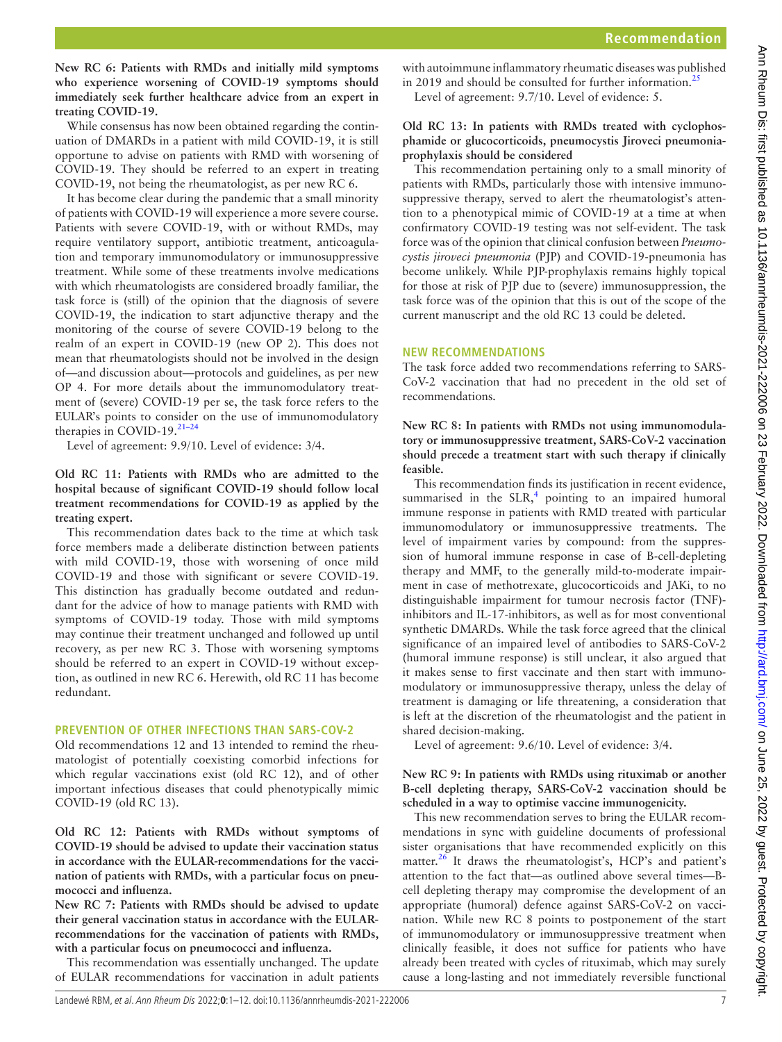**New RC 6: Patients with RMDs and initially mild symptoms who experience worsening of COVID-19 symptoms should immediately seek further healthcare advice from an expert in treating COVID-19.**

While consensus has now been obtained regarding the continuation of DMARDs in a patient with mild COVID-19, it is still opportune to advise on patients with RMD with worsening of COVID-19. They should be referred to an expert in treating COVID-19, not being the rheumatologist, as per new RC 6.

It has become clear during the pandemic that a small minority of patients with COVID-19 will experience a more severe course. Patients with severe COVID-19, with or without RMDs, may require ventilatory support, antibiotic treatment, anticoagulation and temporary immunomodulatory or immunosuppressive treatment. While some of these treatments involve medications with which rheumatologists are considered broadly familiar, the task force is (still) of the opinion that the diagnosis of severe COVID-19, the indication to start adjunctive therapy and the monitoring of the course of severe COVID-19 belong to the realm of an expert in COVID-19 (new OP 2). This does not mean that rheumatologists should not be involved in the design of—and discussion about—protocols and guidelines, as per new OP 4. For more details about the immunomodulatory treatment of (severe) COVID-19 per se, the task force refers to the EULAR's points to consider on the use of immunomodulatory therapies in COVID-19[.21–24](#page-11-9)

Level of agreement: 9.9/10. Level of evidence: 3/4.

## **Old RC 11: Patients with RMDs who are admitted to the hospital because of significant COVID-19 should follow local treatment recommendations for COVID-19 as applied by the treating expert.**

This recommendation dates back to the time at which task force members made a deliberate distinction between patients with mild COVID-19, those with worsening of once mild COVID-19 and those with significant or severe COVID-19. This distinction has gradually become outdated and redundant for the advice of how to manage patients with RMD with symptoms of COVID-19 today. Those with mild symptoms may continue their treatment unchanged and followed up until recovery, as per new RC 3. Those with worsening symptoms should be referred to an expert in COVID-19 without exception, as outlined in new RC 6. Herewith, old RC 11 has become redundant.

# **PREVENTION OF OTHER INFECTIONS THAN SARS-COV-2**

Old recommendations 12 and 13 intended to remind the rheumatologist of potentially coexisting comorbid infections for which regular vaccinations exist (old RC 12), and of other important infectious diseases that could phenotypically mimic COVID-19 (old RC 13).

**Old RC 12: Patients with RMDs without symptoms of COVID-19 should be advised to update their vaccination status in accordance with the EULAR-recommendations for the vaccination of patients with RMDs, with a particular focus on pneumococci and influenza.**

**New RC 7: Patients with RMDs should be advised to update their general vaccination status in accordance with the EULARrecommendations for the vaccination of patients with RMDs, with a particular focus on pneumococci and influenza.**

This recommendation was essentially unchanged. The update of EULAR recommendations for vaccination in adult patients

with autoimmune inflammatory rheumatic diseases was published in 2019 and should be consulted for further information.<sup>[25](#page-11-10)</sup> Level of agreement: 9.7/10. Level of evidence: 5.

## **Old RC 13: In patients with RMDs treated with cyclophosphamide or glucocorticoids, pneumocystis Jiroveci pneumoniaprophylaxis should be considered**

This recommendation pertaining only to a small minority of patients with RMDs, particularly those with intensive immunosuppressive therapy, served to alert the rheumatologist's attention to a phenotypical mimic of COVID-19 at a time at when confirmatory COVID-19 testing was not self-evident. The task force was of the opinion that clinical confusion between *Pneumocystis jiroveci pneumonia* (PJP) and COVID-19-pneumonia has become unlikely. While PJP-prophylaxis remains highly topical for those at risk of PJP due to (severe) immunosuppression, the task force was of the opinion that this is out of the scope of the current manuscript and the old RC 13 could be deleted.

# **NEW RECOMMENDATIONS**

The task force added two recommendations referring to SARS-CoV-2 vaccination that had no precedent in the old set of recommendations.

## **New RC 8: In patients with RMDs not using immunomodulatory or immunosuppressive treatment, SARS-CoV-2 vaccination should precede a treatment start with such therapy if clinically feasible.**

This recommendation finds its justification in recent evidence, summarised in the  $SLR$ ,<sup>[4](#page-10-3)</sup> pointing to an impaired humoral immune response in patients with RMD treated with particular immunomodulatory or immunosuppressive treatments. The level of impairment varies by compound: from the suppression of humoral immune response in case of B-cell-depleting therapy and MMF, to the generally mild-to-moderate impairment in case of methotrexate, glucocorticoids and JAKi, to no distinguishable impairment for tumour necrosis factor (TNF) inhibitors and IL-17-inhibitors, as well as for most conventional synthetic DMARDs. While the task force agreed that the clinical significance of an impaired level of antibodies to SARS-CoV-2 (humoral immune response) is still unclear, it also argued that it makes sense to first vaccinate and then start with immunomodulatory or immunosuppressive therapy, unless the delay of treatment is damaging or life threatening, a consideration that is left at the discretion of the rheumatologist and the patient in shared decision-making.

Level of agreement: 9.6/10. Level of evidence: 3/4.

## **New RC 9: In patients with RMDs using rituximab or another B-cell depleting therapy, SARS-CoV-2 vaccination should be scheduled in a way to optimise vaccine immunogenicity.**

This new recommendation serves to bring the EULAR recommendations in sync with guideline documents of professional sister organisations that have recommended explicitly on this matter.<sup>26</sup> It draws the rheumatologist's, HCP's and patient's attention to the fact that—as outlined above several times—Bcell depleting therapy may compromise the development of an appropriate (humoral) defence against SARS-CoV-2 on vaccination. While new RC 8 points to postponement of the start of immunomodulatory or immunosuppressive treatment when clinically feasible, it does not suffice for patients who have already been treated with cycles of rituximab, which may surely cause a long-lasting and not immediately reversible functional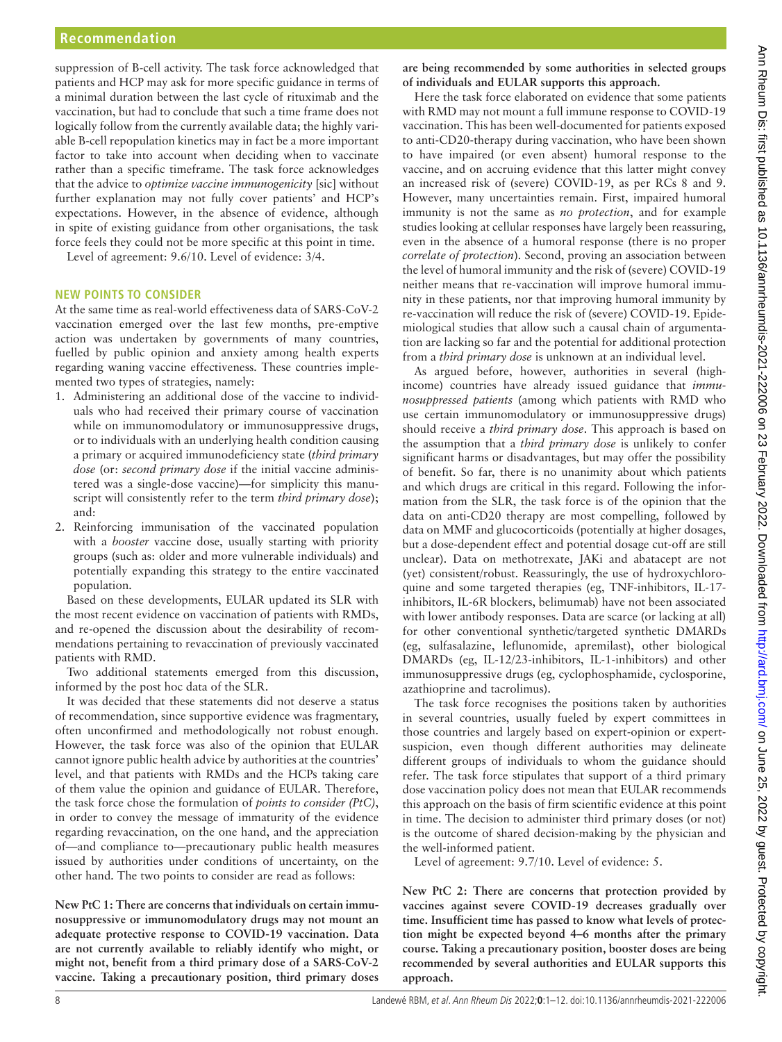suppression of B-cell activity. The task force acknowledged that patients and HCP may ask for more specific guidance in terms of a minimal duration between the last cycle of rituximab and the vaccination, but had to conclude that such a time frame does not logically follow from the currently available data; the highly variable B-cell repopulation kinetics may in fact be a more important factor to take into account when deciding when to vaccinate rather than a specific timeframe. The task force acknowledges that the advice to *optimize vaccine immunogenicity* [sic] without further explanation may not fully cover patients' and HCP's expectations. However, in the absence of evidence, although in spite of existing guidance from other organisations, the task force feels they could not be more specific at this point in time.

Level of agreement: 9.6/10. Level of evidence: 3/4.

#### **NEW POINTS TO CONSIDER**

At the same time as real-world effectiveness data of SARS-CoV-2 vaccination emerged over the last few months, pre-emptive action was undertaken by governments of many countries, fuelled by public opinion and anxiety among health experts regarding waning vaccine effectiveness. These countries implemented two types of strategies, namely:

- 1. Administering an additional dose of the vaccine to individuals who had received their primary course of vaccination while on immunomodulatory or immunosuppressive drugs, or to individuals with an underlying health condition causing a primary or acquired immunodeficiency state (*third primary dose* (or: *second primary dose* if the initial vaccine administered was a single-dose vaccine)—for simplicity this manuscript will consistently refer to the term *third primary dose*); and:
- 2. Reinforcing immunisation of the vaccinated population with a *booster* vaccine dose, usually starting with priority groups (such as: older and more vulnerable individuals) and potentially expanding this strategy to the entire vaccinated population.

Based on these developments, EULAR updated its SLR with the most recent evidence on vaccination of patients with RMDs, and re-opened the discussion about the desirability of recommendations pertaining to revaccination of previously vaccinated patients with RMD.

Two additional statements emerged from this discussion, informed by the post hoc data of the SLR.

It was decided that these statements did not deserve a status of recommendation, since supportive evidence was fragmentary, often unconfirmed and methodologically not robust enough. However, the task force was also of the opinion that EULAR cannot ignore public health advice by authorities at the countries' level, and that patients with RMDs and the HCPs taking care of them value the opinion and guidance of EULAR. Therefore, the task force chose the formulation of *points to consider (PtC)*, in order to convey the message of immaturity of the evidence regarding revaccination, on the one hand, and the appreciation of—and compliance to—precautionary public health measures issued by authorities under conditions of uncertainty, on the other hand. The two points to consider are read as follows:

**New PtC 1: There are concerns that individuals on certain immunosuppressive or immunomodulatory drugs may not mount an adequate protective response to COVID-19 vaccination. Data are not currently available to reliably identify who might, or might not, benefit from a third primary dose of a SARS-CoV-2 vaccine. Taking a precautionary position, third primary doses** 

**are being recommended by some authorities in selected groups of individuals and EULAR supports this approach.**

Here the task force elaborated on evidence that some patients with RMD may not mount a full immune response to COVID-19 vaccination. This has been well-documented for patients exposed to anti-CD20-therapy during vaccination, who have been shown to have impaired (or even absent) humoral response to the vaccine, and on accruing evidence that this latter might convey an increased risk of (severe) COVID-19, as per RCs 8 and 9. However, many uncertainties remain. First, impaired humoral immunity is not the same as *no protection*, and for example studies looking at cellular responses have largely been reassuring, even in the absence of a humoral response (there is no proper *correlate of protection*). Second, proving an association between the level of humoral immunity and the risk of (severe) COVID-19 neither means that re-vaccination will improve humoral immunity in these patients, nor that improving humoral immunity by re-vaccination will reduce the risk of (severe) COVID-19. Epidemiological studies that allow such a causal chain of argumentation are lacking so far and the potential for additional protection from a *third primary dose* is unknown at an individual level.

As argued before, however, authorities in several (highincome) countries have already issued guidance that *immunosuppressed patients* (among which patients with RMD who use certain immunomodulatory or immunosuppressive drugs) should receive a *third primary dose*. This approach is based on the assumption that a *third primary dose* is unlikely to confer significant harms or disadvantages, but may offer the possibility of benefit. So far, there is no unanimity about which patients and which drugs are critical in this regard. Following the information from the SLR, the task force is of the opinion that the data on anti-CD20 therapy are most compelling, followed by data on MMF and glucocorticoids (potentially at higher dosages, but a dose-dependent effect and potential dosage cut-off are still unclear). Data on methotrexate, JAKi and abatacept are not (yet) consistent/robust. Reassuringly, the use of hydroxychloroquine and some targeted therapies (eg, TNF-inhibitors, IL-17 inhibitors, IL-6R blockers, belimumab) have not been associated with lower antibody responses. Data are scarce (or lacking at all) for other conventional synthetic/targeted synthetic DMARDs (eg, sulfasalazine, leflunomide, apremilast), other biological DMARDs (eg, IL-12/23-inhibitors, IL-1-inhibitors) and other immunosuppressive drugs (eg, cyclophosphamide, cyclosporine, azathioprine and tacrolimus).

The task force recognises the positions taken by authorities in several countries, usually fueled by expert committees in those countries and largely based on expert-opinion or expertsuspicion, even though different authorities may delineate different groups of individuals to whom the guidance should refer. The task force stipulates that support of a third primary dose vaccination policy does not mean that EULAR recommends this approach on the basis of firm scientific evidence at this point in time. The decision to administer third primary doses (or not) is the outcome of shared decision-making by the physician and the well-informed patient.

Level of agreement: 9.7/10. Level of evidence: 5.

**New PtC 2: There are concerns that protection provided by vaccines against severe COVID-19 decreases gradually over time. Insufficient time has passed to know what levels of protection might be expected beyond 4–6 months after the primary course. Taking a precautionary position, booster doses are being recommended by several authorities and EULAR supports this approach.**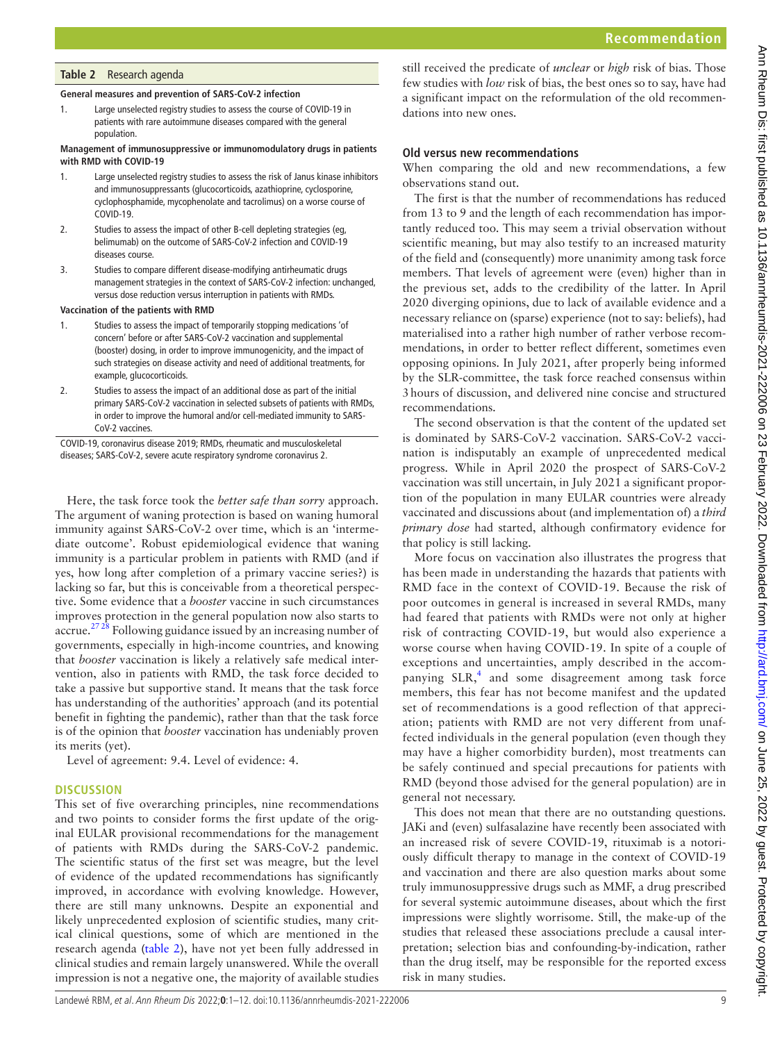## <span id="page-8-0"></span>**Table 2** Research agenda

#### **General measures and prevention of SARS-CoV-2 infection**

1. Large unselected registry studies to assess the course of COVID-19 in patients with rare autoimmune diseases compared with the general population.

#### **Management of immunosuppressive or immunomodulatory drugs in patients with RMD with COVID-19**

- 1. Large unselected registry studies to assess the risk of Janus kinase inhibitors and immunosuppressants (glucocorticoids, azathioprine, cyclosporine, cyclophosphamide, mycophenolate and tacrolimus) on a worse course of COVID-19.
- 2. Studies to assess the impact of other B-cell depleting strategies (eg, belimumab) on the outcome of SARS-CoV-2 infection and COVID-19 diseases course.
- 3. Studies to compare different disease-modifying antirheumatic drugs management strategies in the context of SARS-CoV-2 infection: unchanged, versus dose reduction versus interruption in patients with RMDs.

#### **Vaccination of the patients with RMD**

- 1. Studies to assess the impact of temporarily stopping medications 'of concern' before or after SARS-CoV-2 vaccination and supplemental (booster) dosing, in order to improve immunogenicity, and the impact of such strategies on disease activity and need of additional treatments, for example, glucocorticoids.
- 2. Studies to assess the impact of an additional dose as part of the initial primary SARS-CoV-2 vaccination in selected subsets of patients with RMDs, in order to improve the humoral and/or cell-mediated immunity to SARS-CoV-2 vaccines.

COVID-19, coronavirus disease 2019; RMDs, rheumatic and musculoskeletal diseases; SARS-CoV-2, severe acute respiratory syndrome coronavirus 2.

Here, the task force took the *better safe than sorry* approach. The argument of waning protection is based on waning humoral immunity against SARS-CoV-2 over time, which is an 'intermediate outcome'. Robust epidemiological evidence that waning immunity is a particular problem in patients with RMD (and if yes, how long after completion of a primary vaccine series?) is lacking so far, but this is conceivable from a theoretical perspective. Some evidence that a *booster* vaccine in such circumstances improves protection in the general population now also starts to accrue.<sup>2728</sup> Following guidance issued by an increasing number of governments, especially in high-income countries, and knowing that *booster* vaccination is likely a relatively safe medical intervention, also in patients with RMD, the task force decided to take a passive but supportive stand. It means that the task force has understanding of the authorities' approach (and its potential benefit in fighting the pandemic), rather than that the task force is of the opinion that *booster* vaccination has undeniably proven its merits (yet).

Level of agreement: 9.4. Level of evidence: 4.

## **DISCUSSION**

This set of five overarching principles, nine recommendations and two points to consider forms the first update of the original EULAR provisional recommendations for the management of patients with RMDs during the SARS-CoV-2 pandemic. The scientific status of the first set was meagre, but the level of evidence of the updated recommendations has significantly improved, in accordance with evolving knowledge. However, there are still many unknowns. Despite an exponential and likely unprecedented explosion of scientific studies, many critical clinical questions, some of which are mentioned in the research agenda [\(table](#page-8-0) 2), have not yet been fully addressed in clinical studies and remain largely unanswered. While the overall impression is not a negative one, the majority of available studies

still received the predicate of *unclear* or *high* risk of bias. Those few studies with *low* risk of bias, the best ones so to say, have had a significant impact on the reformulation of the old recommendations into new ones.

## **Old versus new recommendations**

When comparing the old and new recommendations, a few observations stand out.

The first is that the number of recommendations has reduced from 13 to 9 and the length of each recommendation has importantly reduced too. This may seem a trivial observation without scientific meaning, but may also testify to an increased maturity of the field and (consequently) more unanimity among task force members. That levels of agreement were (even) higher than in the previous set, adds to the credibility of the latter. In April 2020 diverging opinions, due to lack of available evidence and a necessary reliance on (sparse) experience (not to say: beliefs), had materialised into a rather high number of rather verbose recommendations, in order to better reflect different, sometimes even opposing opinions. In July 2021, after properly being informed by the SLR-committee, the task force reached consensus within 3hours of discussion, and delivered nine concise and structured recommendations.

The second observation is that the content of the updated set is dominated by SARS-CoV-2 vaccination. SARS-CoV-2 vaccination is indisputably an example of unprecedented medical progress. While in April 2020 the prospect of SARS-CoV-2 vaccination was still uncertain, in July 2021 a significant proportion of the population in many EULAR countries were already vaccinated and discussions about (and implementation of) a *third primary dose* had started, although confirmatory evidence for that policy is still lacking.

More focus on vaccination also illustrates the progress that has been made in understanding the hazards that patients with RMD face in the context of COVID-19. Because the risk of poor outcomes in general is increased in several RMDs, many had feared that patients with RMDs were not only at higher risk of contracting COVID-19, but would also experience a worse course when having COVID-19. In spite of a couple of exceptions and uncertainties, amply described in the accom-panying SLR,<sup>[4](#page-10-3)</sup> and some disagreement among task force members, this fear has not become manifest and the updated set of recommendations is a good reflection of that appreciation; patients with RMD are not very different from unaffected individuals in the general population (even though they may have a higher comorbidity burden), most treatments can be safely continued and special precautions for patients with RMD (beyond those advised for the general population) are in general not necessary.

This does not mean that there are no outstanding questions. JAKi and (even) sulfasalazine have recently been associated with an increased risk of severe COVID-19, rituximab is a notoriously difficult therapy to manage in the context of COVID-19 and vaccination and there are also question marks about some truly immunosuppressive drugs such as MMF, a drug prescribed for several systemic autoimmune diseases, about which the first impressions were slightly worrisome. Still, the make-up of the studies that released these associations preclude a causal interpretation; selection bias and confounding-by-indication, rather than the drug itself, may be responsible for the reported excess risk in many studies.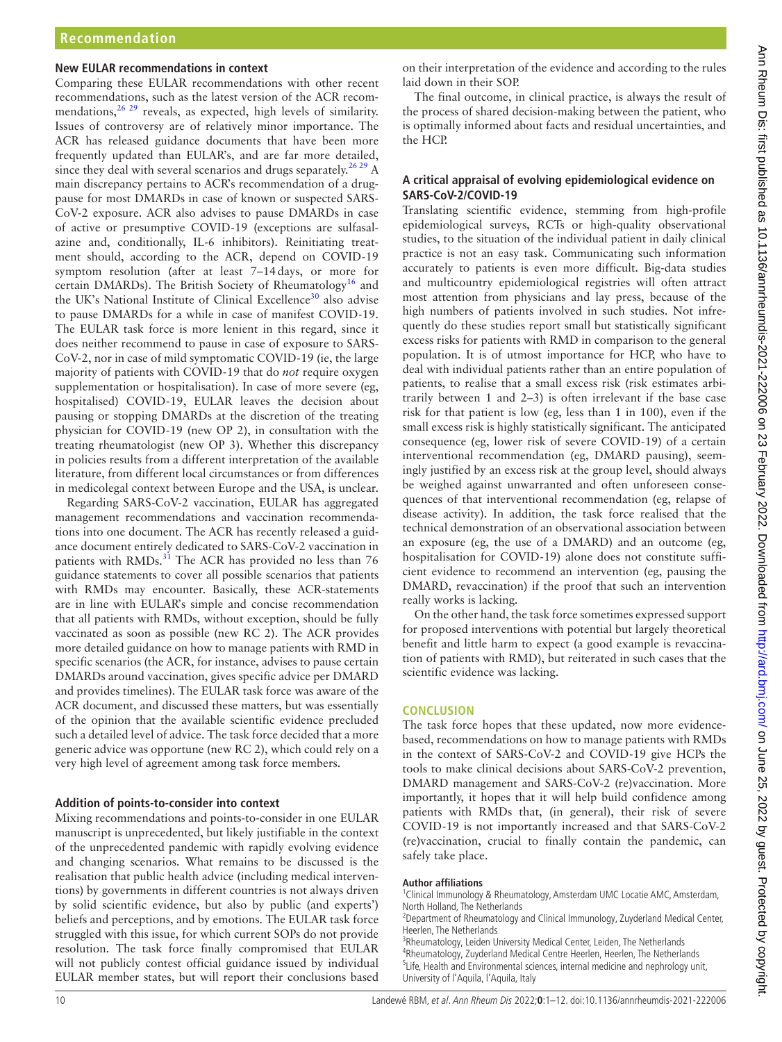## **New EULAR recommendations in context**

Comparing these EULAR recommendations with other recent recommendations, such as the latest version of the ACR recommendations,<sup>26</sup> <sup>29</sup> reveals, as expected, high levels of similarity. Issues of controversy are of relatively minor importance. The ACR has released guidance documents that have been more frequently updated than EULAR's, and are far more detailed, since they deal with several scenarios and drugs separately.<sup>26,29</sup> A main discrepancy pertains to ACR's recommendation of a drugpause for most DMARDs in case of known or suspected SARS-CoV-2 exposure. ACR also advises to pause DMARDs in case of active or presumptive COVID-19 (exceptions are sulfasalazine and, conditionally, IL-6 inhibitors). Reinitiating treatment should, according to the ACR, depend on COVID-19 symptom resolution (after at least 7–14days, or more for certain DMARDs). The British Society of Rheumatology<sup>16</sup> and the UK's National Institute of Clinical Excellence<sup>[30](#page-11-14)</sup> also advise to pause DMARDs for a while in case of manifest COVID-19. The EULAR task force is more lenient in this regard, since it does neither recommend to pause in case of exposure to SARS-CoV-2, nor in case of mild symptomatic COVID-19 (ie, the large majority of patients with COVID-19 that do *not* require oxygen supplementation or hospitalisation). In case of more severe (eg, hospitalised) COVID-19, EULAR leaves the decision about pausing or stopping DMARDs at the discretion of the treating physician for COVID-19 (new OP 2), in consultation with the treating rheumatologist (new OP 3). Whether this discrepancy in policies results from a different interpretation of the available literature, from different local circumstances or from differences in medicolegal context between Europe and the USA, is unclear.

Regarding SARS-CoV-2 vaccination, EULAR has aggregated management recommendations and vaccination recommendations into one document. The ACR has recently released a guidance document entirely dedicated to SARS-CoV-2 vaccination in patients with RMDs.<sup>31</sup> The ACR has provided no less than 76 guidance statements to cover all possible scenarios that patients with RMDs may encounter. Basically, these ACR-statements are in line with EULAR's simple and concise recommendation that all patients with RMDs, without exception, should be fully vaccinated as soon as possible (new RC 2). The ACR provides more detailed guidance on how to manage patients with RMD in specific scenarios (the ACR, for instance, advises to pause certain DMARDs around vaccination, gives specific advice per DMARD and provides timelines). The EULAR task force was aware of the ACR document, and discussed these matters, but was essentially of the opinion that the available scientific evidence precluded such a detailed level of advice. The task force decided that a more generic advice was opportune (new RC 2), which could rely on a very high level of agreement among task force members.

#### **Addition of points-to-consider into context**

Mixing recommendations and points-to-consider in one EULAR manuscript is unprecedented, but likely justifiable in the context of the unprecedented pandemic with rapidly evolving evidence and changing scenarios. What remains to be discussed is the realisation that public health advice (including medical interventions) by governments in different countries is not always driven by solid scientific evidence, but also by public (and experts') beliefs and perceptions, and by emotions. The EULAR task force struggled with this issue, for which current SOPs do not provide resolution. The task force finally compromised that EULAR will not publicly contest official guidance issued by individual EULAR member states, but will report their conclusions based

on their interpretation of the evidence and according to the rules laid down in their SOP.

The final outcome, in clinical practice, is always the result of the process of shared decision-making between the patient, who is optimally informed about facts and residual uncertainties, and the HCP.

## **A critical appraisal of evolving epidemiological evidence on SARS-CoV-2/COVID-19**

Translating scientific evidence, stemming from high-profile epidemiological surveys, RCTs or high-quality observational studies, to the situation of the individual patient in daily clinical practice is not an easy task. Communicating such information accurately to patients is even more difficult. Big-data studies and multicountry epidemiological registries will often attract most attention from physicians and lay press, because of the high numbers of patients involved in such studies. Not infrequently do these studies report small but statistically significant excess risks for patients with RMD in comparison to the general population. It is of utmost importance for HCP, who have to deal with individual patients rather than an entire population of patients, to realise that a small excess risk (risk estimates arbitrarily between 1 and 2–3) is often irrelevant if the base case risk for that patient is low (eg, less than 1 in 100), even if the small excess risk is highly statistically significant. The anticipated consequence (eg, lower risk of severe COVID-19) of a certain interventional recommendation (eg, DMARD pausing), seemingly justified by an excess risk at the group level, should always be weighed against unwarranted and often unforeseen consequences of that interventional recommendation (eg, relapse of disease activity). In addition, the task force realised that the technical demonstration of an observational association between an exposure (eg, the use of a DMARD) and an outcome (eg, hospitalisation for COVID-19) alone does not constitute sufficient evidence to recommend an intervention (eg, pausing the DMARD, revaccination) if the proof that such an intervention really works is lacking.

On the other hand, the task force sometimes expressed support for proposed interventions with potential but largely theoretical benefit and little harm to expect (a good example is revaccination of patients with RMD), but reiterated in such cases that the scientific evidence was lacking.

## **CONCLUSION**

The task force hopes that these updated, now more evidencebased, recommendations on how to manage patients with RMDs in the context of SARS-CoV-2 and COVID-19 give HCPs the tools to make clinical decisions about SARS-CoV-2 prevention, DMARD management and SARS-CoV-2 (re)vaccination. More importantly, it hopes that it will help build confidence among patients with RMDs that, (in general), their risk of severe COVID-19 is not importantly increased and that SARS-CoV-2 (re)vaccination, crucial to finally contain the pandemic, can safely take place.

#### **Author affiliations**

<sup>1</sup>Clinical Immunology & Rheumatology, Amsterdam UMC Locatie AMC, Amsterdam, North Holland, The Netherlands

<sup>2</sup>Department of Rheumatology and Clinical Immunology, Zuyderland Medical Center, Heerlen, The Netherlands

<sup>3</sup>Rheumatology, Leiden University Medical Center, Leiden, The Netherlands <sup>4</sup>Rheumatology, Zuyderland Medical Centre Heerlen, Heerlen, The Netherlands <sup>5</sup>Life, Health and Environmental sciences, internal medicine and nephrology unit, University of l'Aquila, l'Aquila, Italy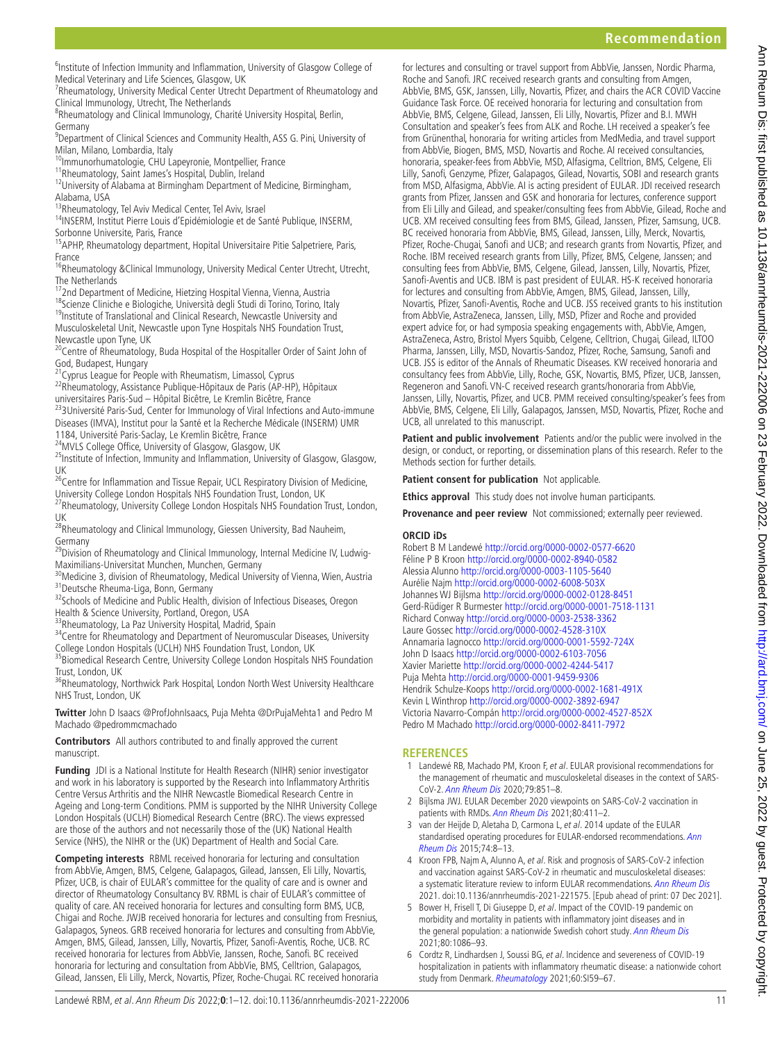<sup>6</sup>Institute of Infection Immunity and Inflammation, University of Glasgow College of Medical Veterinary and Life Sciences, Glasgow, UK

<sup>7</sup>Rheumatology, University Medical Center Utrecht Department of Rheumatology and Clinical Immunology, Utrecht, The Netherlands

<sup>8</sup>Rheumatology and Clinical Immunology, Charité University Hospital, Berlin, Germany

<sup>9</sup>Department of Clinical Sciences and Community Health, ASS G. Pini, University of Milan, Milano, Lombardia, Italy

<sup>10</sup>Immunorhumatologie, CHU Lapeyronie, Montpellier, France

11Rheumatology, Saint James's Hospital, Dublin, Ireland

<sup>12</sup>University of Alabama at Birmingham Department of Medicine, Birmingham, Alabama, USA

13Rheumatology, Tel Aviv Medical Center, Tel Aviv, Israel

14INSERM, Institut Pierre Louis d'Epidémiologie et de Santé Publique, INSERM, Sorbonne Universite, Paris, France

<sup>15</sup>APHP, Rheumatology department, Hopital Universitaire Pitie Salpetriere, Paris, France

<sup>16</sup>Rheumatology &Clinical Immunology, University Medical Center Utrecht, Utrecht, The Netherlands

<sup>17</sup>2nd Department of Medicine, Hietzing Hospital Vienna, Vienna, Austria

18Scienze Cliniche e Biologiche, Università degli Studi di Torino, Torino, Italy <sup>19</sup>Institute of Translational and Clinical Research, Newcastle University and Musculoskeletal Unit, Newcastle upon Tyne Hospitals NHS Foundation Trust, Newcastle upon Tyne, UK

<sup>20</sup>Centre of Rheumatology, Buda Hospital of the Hospitaller Order of Saint John of God, Budapest, Hungary

<sup>21</sup>Cyprus League for People with Rheumatism, Limassol, Cyprus

<sup>22</sup>Rheumatology, Assistance Publique-Hôpitaux de Paris (AP-HP), Hôpitaux<br>universitaires Paris-Sud - Hôpital Bicêtre, Le Kremlin Bicêtre, France

<sup>23</sup>3Université Paris-Sud, Center for Immunology of Viral Infections and Auto-immune Diseases (IMVA), Institut pour la Santé et la Recherche Médicale (INSERM) UMR<br>1184, Université Paris-Saclay, Le Kremlin Bicêtre, France

<sup>24</sup>MVLS College Office, University of Glasgow, Glasgow, UK

<sup>25</sup>Institute of Infection, Immunity and Inflammation, University of Glasgow, Glasgow, UK

<sup>26</sup>Centre for Inflammation and Tissue Repair, UCL Respiratory Division of Medicine, University College London Hospitals NHS Foundation Trust, London, UK

27Rheumatology, University College London Hospitals NHS Foundation Trust, London, UK

<sup>28</sup>Rheumatology and Clinical Immunology, Giessen University, Bad Nauheim, Germany

<sup>29</sup>Division of Rheumatology and Clinical Immunology, Internal Medicine IV, Ludwig-

Maximilians-Universitat Munchen, Munchen, Germany<br><sup>30</sup>Medicine 3, division of Rheumatology, Medical University of Vienna, Wien, Austria<br><sup>31</sup>Deutsche Rheuma-Liga, Bonn, Germany

32Schools of Medicine and Public Health, division of Infectious Diseases, Oregon Health & Science University, Portland, Oregon, USA

33Rheumatology, La Paz University Hospital, Madrid, Spain

<sup>34</sup>Centre for Rheumatology and Department of Neuromuscular Diseases, University College London Hospitals (UCLH) NHS Foundation Trust, London, UK

<sup>35</sup>Biomedical Research Centre, University College London Hospitals NHS Foundation Trust, London, UK

<sup>36</sup>Rheumatology, Northwick Park Hospital, London North West University Healthcare NHS Trust, London, UK

**Twitter** John D Isaacs [@ProfJohnIsaacs,](https://twitter.com/ProfJohnIsaacs) Puja Mehta [@DrPujaMehta1](https://twitter.com/DrPujaMehta1) and Pedro M Machado [@pedrommcmachado](https://twitter.com/pedrommcmachado)

**Contributors** All authors contributed to and finally approved the current manuscript.

**Funding** JDI is a National Institute for Health Research (NIHR) senior investigator and work in his laboratory is supported by the Research into Inflammatory Arthritis Centre Versus Arthritis and the NIHR Newcastle Biomedical Research Centre in Ageing and Long-term Conditions. PMM is supported by the NIHR University College London Hospitals (UCLH) Biomedical Research Centre (BRC). The views expressed are those of the authors and not necessarily those of the (UK) National Health Service (NHS), the NIHR or the (UK) Department of Health and Social Care.

**Competing interests** RBML received honoraria for lecturing and consultation from AbbVie, Amgen, BMS, Celgene, Galapagos, Gilead, Janssen, Eli Lilly, Novartis, Pfizer, UCB, is chair of EULAR's committee for the quality of care and is owner and director of Rheumatology Consultancy BV. RBML is chair of EULAR's committee of quality of care. AN received honoraria for lectures and consulting form BMS, UCB, Chigai and Roche. JWJB received honoraria for lectures and consulting from Fresnius, Galapagos, Syneos. GRB received honoraria for lectures and consulting from AbbVie, Amgen, BMS, Gilead, Janssen, Lilly, Novartis, Pfizer, Sanofi-Aventis, Roche, UCB. RC received honoraria for lectures from AbbVie, Janssen, Roche, Sanofi. BC received honoraria for lecturing and consultation from AbbVie, BMS, Celltrion, Galapagos, Gilead, Janssen, Eli Lilly, Merck, Novartis, Pfizer, Roche-Chugai. RC received honoraria

for lectures and consulting or travel support from AbbVie, Janssen, Nordic Pharma, Roche and Sanofi. JRC received research grants and consulting from Amgen, AbbVie, BMS, GSK, Janssen, Lilly, Novartis, Pfizer, and chairs the ACR COVID Vaccine Guidance Task Force. OE received honoraria for lecturing and consultation from AbbVie, BMS, Celgene, Gilead, Janssen, Eli Lilly, Novartis, Pfizer and B.I. MWH Consultation and speaker's fees from ALK and Roche. LH received a speaker's fee from Grünenthal, honoraria for writing articles from MedMedia, and travel support from AbbVie, Biogen, BMS, MSD, Novartis and Roche. AI received consultancies, honoraria, speaker-fees from AbbVie, MSD, Alfasigma, Celltrion, BMS, Celgene, Eli Lilly, Sanofi, Genzyme, Pfizer, Galapagos, Gilead, Novartis, SOBI and research grants from MSD, Alfasigma, AbbVie. AI is acting president of EULAR. JDI received research grants from Pfizer, Janssen and GSK and honoraria for lectures, conference support from Eli Lilly and Gilead, and speaker/consulting fees from AbbVie, Gilead, Roche and UCB. XM received consulting fees from BMS, Gilead, Janssen, Pfizer, Samsung, UCB. BC received honoraria from AbbVie, BMS, Gilead, Janssen, Lilly, Merck, Novartis, Pfizer, Roche-Chugai, Sanofi and UCB; and research grants from Novartis, Pfizer, and Roche. IBM received research grants from Lilly, Pfizer, BMS, Celgene, Janssen; and consulting fees from AbbVie, BMS, Celgene, Gilead, Janssen, Lilly, Novartis, Pfizer, Sanofi-Aventis and UCB. IBM is past president of EULAR. HS-K received honoraria for lectures and consulting from AbbVie, Amgen, BMS, Gilead, Janssen, Lilly, Novartis, Pfizer, Sanofi-Aventis, Roche and UCB. JSS received grants to his institution from AbbVie, AstraZeneca, Janssen, Lilly, MSD, Pfizer and Roche and provided expert advice for, or had symposia speaking engagements with, AbbVie, Amgen, AstraZeneca, Astro, Bristol Myers Squibb, Celgene, Celltrion, Chugai, Gilead, ILTOO Pharma, Janssen, Lilly, MSD, Novartis-Sandoz, Pfizer, Roche, Samsung, Sanofi and UCB. JSS is editor of the Annals of Rheumatic Diseases. KW received honoraria and consultancy fees from AbbVie, Lilly, Roche, GSK, Novartis, BMS, Pfizer, UCB, Janssen, Regeneron and Sanofi. VN-C received research grants/honoraria from AbbVie, Janssen, Lilly, Novartis, Pfizer, and UCB. PMM received consulting/speaker's fees from AbbVie, BMS, Celgene, Eli Lilly, Galapagos, Janssen, MSD, Novartis, Pfizer, Roche and UCB, all unrelated to this manuscript.

**Patient and public involvement** Patients and/or the public were involved in the design, or conduct, or reporting, or dissemination plans of this research. Refer to the Methods section for further details.

**Patient consent for publication** Not applicable.

**Ethics approval** This study does not involve human participants.

**Provenance and peer review** Not commissioned; externally peer reviewed.

#### **ORCID iDs**

Robert B M Landewé <http://orcid.org/0000-0002-0577-6620> Féline P B Kroon<http://orcid.org/0000-0002-8940-0582> Alessia Alunno<http://orcid.org/0000-0003-1105-5640> Aurélie Najm<http://orcid.org/0000-0002-6008-503X> Johannes WJ Bijlsma<http://orcid.org/0000-0002-0128-8451> Gerd-Rüdiger R Burmester <http://orcid.org/0000-0001-7518-1131> Richard Conway <http://orcid.org/0000-0003-2538-3362> Laure Gossec <http://orcid.org/0000-0002-4528-310X> Annamaria Iagnocco<http://orcid.org/0000-0001-5592-724X> John D Isaacs <http://orcid.org/0000-0002-6103-7056> Xavier Mariette<http://orcid.org/0000-0002-4244-5417> Puja Mehta <http://orcid.org/0000-0001-9459-9306> Hendrik Schulze-Koops <http://orcid.org/0000-0002-1681-491X> Kevin L Winthrop <http://orcid.org/0000-0002-3892-6947> Victoria Navarro-Compán<http://orcid.org/0000-0002-4527-852X> Pedro M Machado <http://orcid.org/0000-0002-8411-7972>

## **REFERENCES**

- <span id="page-10-0"></span>1 Landewé RB, Machado PM, Kroon F, et al. EULAR provisional recommendations for the management of rheumatic and musculoskeletal diseases in the context of SARS-CoV-2. [Ann Rheum Dis](http://dx.doi.org/10.1136/annrheumdis-2020-217877) 2020;79:851–8.
- <span id="page-10-1"></span>2 Bijlsma JWJ. EULAR December 2020 viewpoints on SARS-CoV-2 vaccination in patients with RMDs. [Ann Rheum Dis](http://dx.doi.org/10.1136/annrheumdis-2020-219773) 2021;80:411–2.
- <span id="page-10-2"></span>3 van der Heijde D, Aletaha D, Carmona L, et al. 2014 update of the EULAR standardised operating procedures for EULAR-endorsed recommendations. [Ann](http://dx.doi.org/10.1136/annrheumdis-2014-206350)  [Rheum Dis](http://dx.doi.org/10.1136/annrheumdis-2014-206350) 2015;74:8–13.
- <span id="page-10-3"></span>4 Kroon FPB, Najm A, Alunno A, et al. Risk and prognosis of SARS-CoV-2 infection and vaccination against SARS-CoV-2 in rheumatic and musculoskeletal diseases: a systematic literature review to inform EULAR recommendations. [Ann Rheum Dis](http://dx.doi.org/10.1136/annrheumdis-2021-221575) 2021. doi:10.1136/annrheumdis-2021-221575. [Epub ahead of print: 07 Dec 2021].
- <span id="page-10-4"></span>5 Bower H, Frisell T, Di Giuseppe D, et al. Impact of the COVID-19 pandemic on morbidity and mortality in patients with inflammatory joint diseases and in the general population: a nationwide Swedish cohort study. [Ann Rheum Dis](http://dx.doi.org/10.1136/annrheumdis-2021-219845) 2021;80:1086–93.
- 6 Cordtz R, Lindhardsen J, Soussi BG, et al. Incidence and severeness of COVID-19 hospitalization in patients with inflammatory rheumatic disease: a nationwide cohort study from Denmark. [Rheumatology](http://dx.doi.org/10.1093/rheumatology/keaa897) 2021;60:SI59-67.